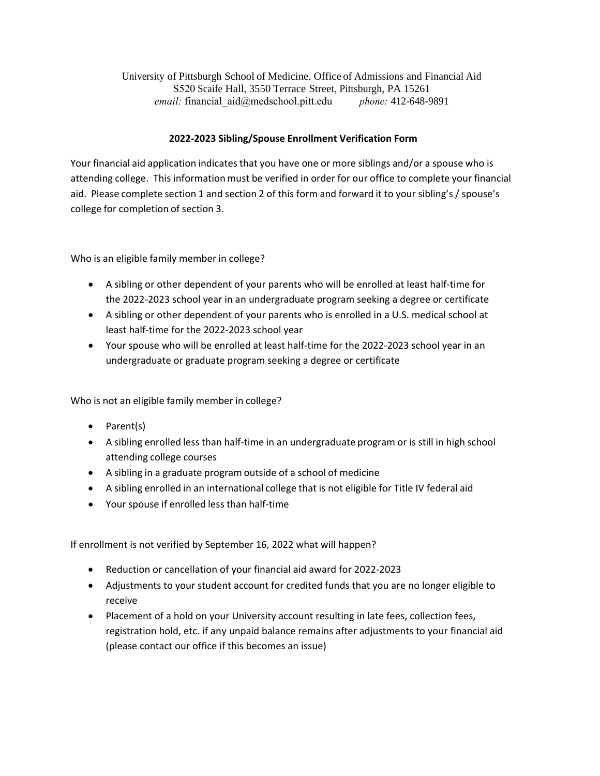University of Pittsburgh School of Medicine, Office of Admissions and Financial Aid S520 Scaife Hall, 3550 Terrace Street, Pittsburgh, PA 15261 *email:* financial\_aid@medschool.pitt.edu *phone:* 412-648-9891

## **2022-2023 Sibling/Spouse Enrollment Verification Form**

Your financial aid application indicates that you have one or more siblings and/or a spouse who is attending college. This information must be verified in order for our office to complete your financial aid. Please complete section 1 and section 2 of this form and forward it to your sibling's / spouse's college for completion of section 3.

Who is an eligible family member in college?

- A sibling or other dependent of your parents who will be enrolled at least half‐time for the 2022-2023 school year in an undergraduate program seeking a degree or certificate
- A sibling or other dependent of your parents who is enrolled in a U.S. medical school at least half‐time for the 2022-2023 school year
- Your spouse who will be enrolled at least half-time for the 2022-2023 school year in an undergraduate or graduate program seeking a degree or certificate

Who is not an eligible family member in college?

- Parent(s)
- A sibling enrolled less than half-time in an undergraduate program or is still in high school attending college courses
- A sibling in a graduate program outside of a school of medicine
- A sibling enrolled in an international college that is not eligible for Title IV federal aid
- Your spouse if enrolled less than half-time

If enrollment is not verified by September 16, 2022 what will happen?

- Reduction or cancellation of your financial aid award for 2022-2023
- Adjustments to your student account for credited funds that you are no longer eligible to receive
- Placement of a hold on your University account resulting in late fees, collection fees, registration hold, etc. if any unpaid balance remains after adjustments to your financial aid (please contact our office if this becomes an issue)